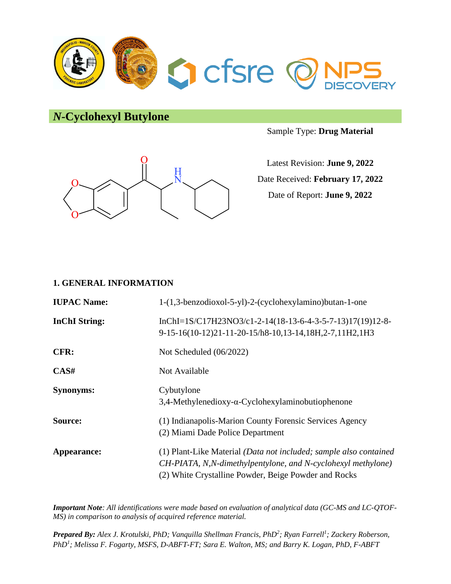

*N***-Cyclohexyl Butylone**





Latest Revision: **June 9, 2022** Date Received: **February 17, 2022** Date of Report: **June 9, 2022**

### **1. GENERAL INFORMATION**

| <b>IUPAC Name:</b>   | 1-(1,3-benzodioxol-5-yl)-2-(cyclohexylamino)butan-1-one                                                                                                                                   |
|----------------------|-------------------------------------------------------------------------------------------------------------------------------------------------------------------------------------------|
| <b>InChI</b> String: | InChI=1S/C17H23NO3/c1-2-14(18-13-6-4-3-5-7-13)17(19)12-8-<br>9-15-16(10-12)21-11-20-15/h8-10,13-14,18H,2-7,11H2,1H3                                                                       |
| CFR:                 | Not Scheduled (06/2022)                                                                                                                                                                   |
| CAS#                 | Not Available                                                                                                                                                                             |
| <b>Synonyms:</b>     | Cybutylone<br>$3,4$ -Methylenedioxy- $\alpha$ -Cyclohexylaminobutiophenone                                                                                                                |
| Source:              | (1) Indianapolis-Marion County Forensic Services Agency<br>(2) Miami Dade Police Department                                                                                               |
| Appearance:          | (1) Plant-Like Material (Data not included; sample also contained<br>CH-PIATA, N,N-dimethylpentylone, and N-cyclohexyl methylone)<br>(2) White Crystalline Powder, Beige Powder and Rocks |

*Important Note: All identifications were made based on evaluation of analytical data (GC-MS and LC-QTOF-MS) in comparison to analysis of acquired reference material.*

*Prepared By: Alex J. Krotulski, PhD; Vanquilla Shellman Francis, PhD<sup>2</sup> ; Ryan Farrell<sup>1</sup> ; Zackery Roberson, PhD<sup>1</sup> ; Melissa F. Fogarty, MSFS, D-ABFT-FT; Sara E. Walton, MS; and Barry K. Logan, PhD, F-ABFT*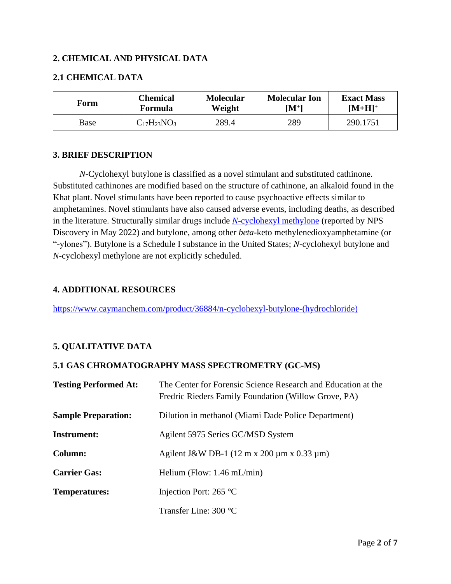### **2. CHEMICAL AND PHYSICAL DATA**

### **2.1 CHEMICAL DATA**

| Form | Chemical           | <b>Molecular</b> | <b>Molecular Ion</b> | <b>Exact Mass</b> |
|------|--------------------|------------------|----------------------|-------------------|
|      | Formula            | Weight           | $\mathbf{[M^+]}$     | $[M+H]^+$         |
| Base | $C_{17}H_{23}NO_3$ | 289.4            | 289                  | 290.1751          |

### **3. BRIEF DESCRIPTION**

*N*-Cyclohexyl butylone is classified as a novel stimulant and substituted cathinone. Substituted cathinones are modified based on the structure of cathinone, an alkaloid found in the Khat plant. Novel stimulants have been reported to cause psychoactive effects similar to amphetamines. Novel stimulants have also caused adverse events, including deaths, as described in the literature. Structurally similar drugs include *N*[-cyclohexyl methylone](https://www.npsdiscovery.org/wp-content/uploads/2022/05/N-Cyclohexyl-Methylone_050922_CFSRE-Chemistry_Report.pdf) (reported by NPS Discovery in May 2022) and butylone, among other *beta*-keto methylenedioxyamphetamine (or "-ylones"). Butylone is a Schedule I substance in the United States; *N*-cyclohexyl butylone and *N*-cyclohexyl methylone are not explicitly scheduled.

#### **4. ADDITIONAL RESOURCES**

[https://www.caymanchem.com/product/36884/n-cyclohexyl-butylone-\(hydrochloride\)](https://www.caymanchem.com/product/36884/n-cyclohexyl-butylone-(hydrochloride))

### **5. QUALITATIVE DATA**

### **5.1 GAS CHROMATOGRAPHY MASS SPECTROMETRY (GC-MS)**

| <b>Testing Performed At:</b> | The Center for Forensic Science Research and Education at the<br>Fredric Rieders Family Foundation (Willow Grove, PA) |
|------------------------------|-----------------------------------------------------------------------------------------------------------------------|
| <b>Sample Preparation:</b>   | Dilution in methanol (Miami Dade Police Department)                                                                   |
| <b>Instrument:</b>           | Agilent 5975 Series GC/MSD System                                                                                     |
| Column:                      | Agilent J&W DB-1 $(12 \text{ m x } 200 \text{ µm x } 0.33 \text{ µm})$                                                |
| <b>Carrier Gas:</b>          | Helium (Flow: $1.46$ mL/min)                                                                                          |
| <b>Temperatures:</b>         | Injection Port: $265^{\circ}$ C                                                                                       |
|                              | Transfer Line: $300^{\circ}$ C                                                                                        |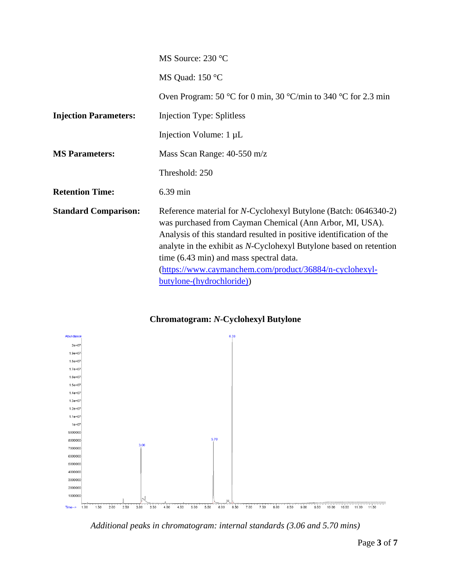|                              | MS Source: 230 °C                                                                                                                                                                                                                                                                                                                                                                                            |
|------------------------------|--------------------------------------------------------------------------------------------------------------------------------------------------------------------------------------------------------------------------------------------------------------------------------------------------------------------------------------------------------------------------------------------------------------|
|                              | MS Quad: 150 °C                                                                                                                                                                                                                                                                                                                                                                                              |
|                              | Oven Program: 50 °C for 0 min, 30 °C/min to 340 °C for 2.3 min                                                                                                                                                                                                                                                                                                                                               |
| <b>Injection Parameters:</b> | <b>Injection Type: Splitless</b>                                                                                                                                                                                                                                                                                                                                                                             |
|                              | Injection Volume: 1 µL                                                                                                                                                                                                                                                                                                                                                                                       |
| <b>MS</b> Parameters:        | Mass Scan Range: 40-550 m/z                                                                                                                                                                                                                                                                                                                                                                                  |
|                              | Threshold: 250                                                                                                                                                                                                                                                                                                                                                                                               |
| <b>Retention Time:</b>       | 6.39 min                                                                                                                                                                                                                                                                                                                                                                                                     |
| <b>Standard Comparison:</b>  | Reference material for N-Cyclohexyl Butylone (Batch: 0646340-2)<br>was purchased from Cayman Chemical (Ann Arbor, MI, USA).<br>Analysis of this standard resulted in positive identification of the<br>analyte in the exhibit as N-Cyclohexyl Butylone based on retention<br>time (6.43 min) and mass spectral data.<br>(https://www.caymanchem.com/product/36884/n-cyclohexyl-<br>butylone-(hydrochloride)) |



## **Chromatogram:** *N***-Cyclohexyl Butylone**

*Additional peaks in chromatogram: internal standards (3.06 and 5.70 mins)*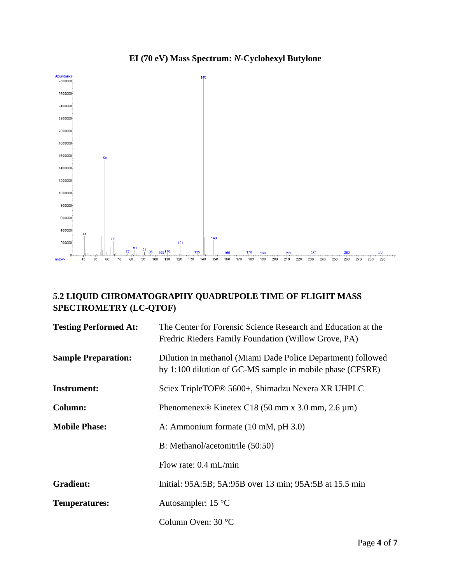# **EI (70 eV) Mass Spectrum:** *N***-Cyclohexyl Butylone**



# **5.2 LIQUID CHROMATOGRAPHY QUADRUPOLE TIME OF FLIGHT MASS SPECTROMETRY (LC-QTOF)**

| <b>Testing Performed At:</b> | The Center for Forensic Science Research and Education at the<br>Fredric Rieders Family Foundation (Willow Grove, PA)     |
|------------------------------|---------------------------------------------------------------------------------------------------------------------------|
| <b>Sample Preparation:</b>   | Dilution in methanol (Miami Dade Police Department) followed<br>by 1:100 dilution of GC-MS sample in mobile phase (CFSRE) |
| <b>Instrument:</b>           | Sciex TripleTOF <sup>®</sup> 5600+, Shimadzu Nexera XR UHPLC                                                              |
| Column:                      | Phenomenex <sup>®</sup> Kinetex C18 (50 mm x 3.0 mm, 2.6 $\mu$ m)                                                         |
| <b>Mobile Phase:</b>         | A: Ammonium formate (10 mM, pH 3.0)                                                                                       |
|                              | B: Methanol/acetonitrile (50:50)                                                                                          |
|                              | Flow rate: $0.4$ mL/min                                                                                                   |
| <b>Gradient:</b>             | Initial: 95A:5B; 5A:95B over 13 min; 95A:5B at 15.5 min                                                                   |
| <b>Temperatures:</b>         | Autosampler: $15^{\circ}$ C                                                                                               |
|                              | Column Oven: 30 °C                                                                                                        |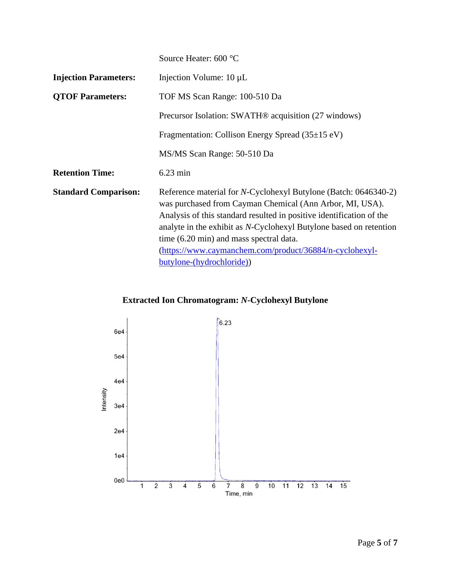|                              | Source Heater: 600 °C                                                                                                                                                                                                                                                                                                                                                                                                |
|------------------------------|----------------------------------------------------------------------------------------------------------------------------------------------------------------------------------------------------------------------------------------------------------------------------------------------------------------------------------------------------------------------------------------------------------------------|
| <b>Injection Parameters:</b> | Injection Volume: $10 \mu L$                                                                                                                                                                                                                                                                                                                                                                                         |
| <b>QTOF Parameters:</b>      | TOF MS Scan Range: 100-510 Da                                                                                                                                                                                                                                                                                                                                                                                        |
|                              | Precursor Isolation: SWATH <sup>®</sup> acquisition (27 windows)                                                                                                                                                                                                                                                                                                                                                     |
|                              | Fragmentation: Collison Energy Spread $(35\pm15 \text{ eV})$                                                                                                                                                                                                                                                                                                                                                         |
|                              | MS/MS Scan Range: 50-510 Da                                                                                                                                                                                                                                                                                                                                                                                          |
| <b>Retention Time:</b>       | $6.23 \text{ min}$                                                                                                                                                                                                                                                                                                                                                                                                   |
| <b>Standard Comparison:</b>  | Reference material for <i>N</i> -Cyclohexyl Butylone (Batch: 0646340-2)<br>was purchased from Cayman Chemical (Ann Arbor, MI, USA).<br>Analysis of this standard resulted in positive identification of the<br>analyte in the exhibit as N-Cyclohexyl Butylone based on retention<br>time (6.20 min) and mass spectral data.<br>(https://www.caymanchem.com/product/36884/n-cyclohexyl-<br>butylone-(hydrochloride)) |

# **Extracted Ion Chromatogram:** *N***-Cyclohexyl Butylone**

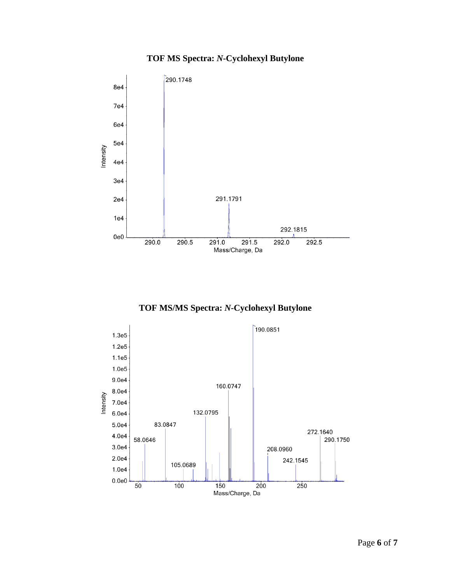## **TOF MS Spectra:** *N***-Cyclohexyl Butylone**



**TOF MS/MS Spectra:** *N***-Cyclohexyl Butylone**